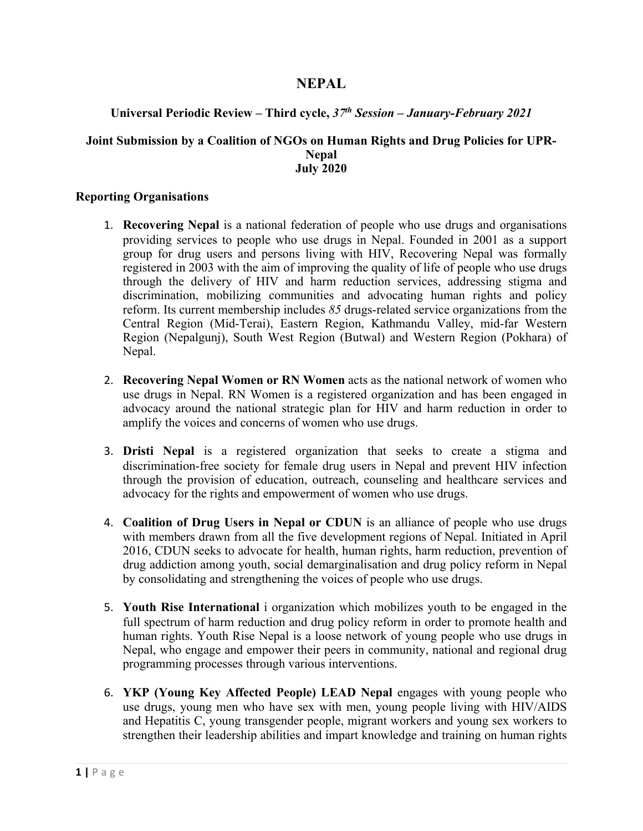# **NEPAL**

## **Universal Periodic Review – Third cycle,** *37th Session – January-February 2021*

#### **Joint Submission by <sup>a</sup> Coalition of NGOs on Human Rights and Drug Policies for UPR-Nepal July 2020**

#### **Reporting Organisations**

- 1. **Recovering Nepal** is <sup>a</sup> national federation of people who use drugs and organisations providing services to people who use drugs in Nepal. Founded in 2001 as <sup>a</sup> suppor<sup>t</sup> group for drug users and persons living with HIV, Recovering Nepal was formally registered in 2003 with the aim of improving the quality of life of people who use drugs through the delivery of HIV and harm reduction services, addressing stigma and discrimination, mobilizing communities and advocating human rights and policy reform. Its current membership includes *85* drugs-related service organizations from the Central Region (Mid-Terai), Eastern Region, Kathmandu Valley, mid-far Western Region (Nepalgunj), South West Region (Butwal) and Western Region (Pokhara) of Nepal.
- 2. **Recovering Nepal Women or RN Women** acts as the national network of women who use drugs in Nepal. RN Women is <sup>a</sup> registered organization and has been engaged in advocacy around the national strategic plan for HIV and harm reduction in order to amplify the voices and concerns of women who use drugs.
- 3. **Dristi Nepal** is <sup>a</sup> registered organization that seeks to create <sup>a</sup> stigma and discrimination-free society for female drug users in Nepal and preven<sup>t</sup> HIV infection through the provision of education, outreach, counseling and healthcare services and advocacy for the rights and empowermen<sup>t</sup> of women who use drugs.
- 4. **Coalition of Drug Users in Nepal or CDUN** is an alliance of people who use drugs with members drawn from all the five development regions of Nepal. Initiated in April 2016, CDUN seeks to advocate for health, human rights, harm reduction, prevention of drug addiction among youth, social demarginalisation and drug policy reform in Nepal by consolidating and strengthening the voices of people who use drugs.
- 5. **Youth Rise International** i organization which mobilizes youth to be engaged in the full spectrum of harm reduction and drug policy reform in order to promote health and human rights. Youth Rise Nepal is <sup>a</sup> loose network of young people who use drugs in Nepal, who engage and empower their peers in community, national and regional drug programming processes through various interventions.
- 6. **YKP (Young Key Affected People) LEAD Nepal** engages with young people who use drugs, young men who have sex with men, young people living with HIV/AIDS and Hepatitis C, young transgender people, migrant workers and young sex workers to strengthen their leadership abilities and impart knowledge and training on human rights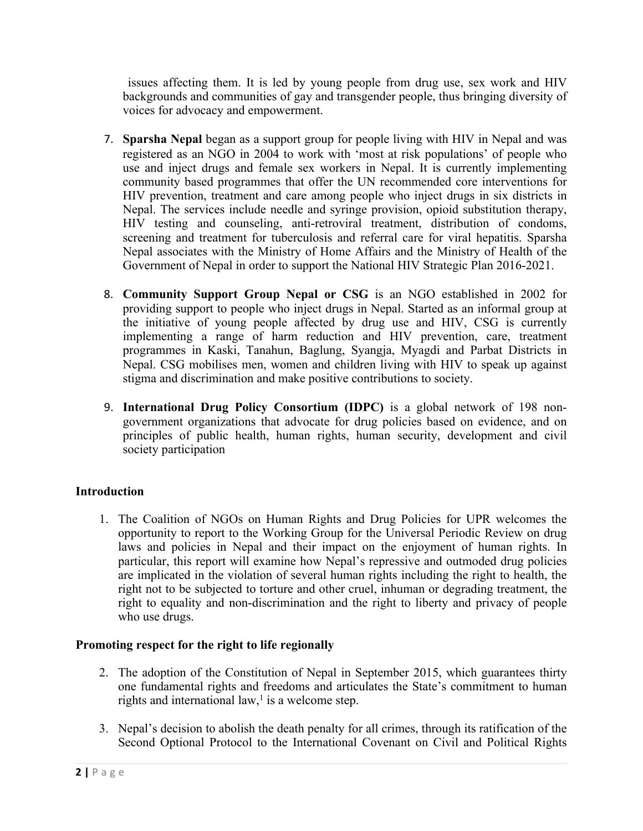issues affecting them. It is led by young people from drug use, sex work and HIV backgrounds and communities of gay and transgender people, thus bringing diversity of voices for advocacy and empowerment.

- 7. **Sparsha Nepal** began as <sup>a</sup> suppor<sup>t</sup> group for people living with HIV in Nepal and was registered as an NGO in 2004 to work with 'most at risk populations' of people who use and inject drugs and female sex workers in Nepal. It is currently implementing community based programmes that offer the UN recommended core interventions for HIV prevention, treatment and care among people who inject drugs in six districts in Nepal. The services include needle and syringe provision, opioid substitution therapy, HIV testing and counseling, anti-retroviral treatment, distribution of condoms, screening and treatment for tuberculosis and referral care for viral hepatitis. Sparsha Nepal associates with the Ministry of Home Affairs and the Ministry of Health of the Government of Nepal in order to suppor<sup>t</sup> the National HIV Strategic Plan 2016-2021.
- 8. **Community Support Group Nepal or CSG** is an NGO established in 2002 for providing suppor<sup>t</sup> to people who inject drugs in Nepal. Started as an informal group at the initiative of young people affected by drug use and HIV, CSG is currently implementing <sup>a</sup> range of harm reduction and HIV prevention, care, treatment programmes in Kaski, Tanahun, Baglung, Syangja, Myagdi and Parbat Districts in Nepal. CSG mobilises men, women and children living with HIV to speak up against stigma and discrimination and make positive contributions to society.
- 9. **International Drug Policy Consortium (IDPC)** is <sup>a</sup> global network of 198 nongovernmen<sup>t</sup> organizations that advocate for drug policies based on evidence, and on principles of public health, human rights, human security, development and civil society participation

## **Introduction**

1. The Coalition of NGOs on Human Rights and Drug Policies for UPR welcomes the opportunity to repor<sup>t</sup> to the Working Group for the Universal Periodic Review on drug laws and policies in Nepal and their impact on the enjoyment of human rights. In particular, this repor<sup>t</sup> will examine how Nepal'<sup>s</sup> repressive and outmoded drug policies are implicated in the violation of several human rights including the right to health, the right not to be subjected to torture and other cruel, inhuman or degrading treatment, the right to equality and non-discrimination and the right to liberty and privacy of people who use drugs.

## **Promoting respect for the right to life regionally**

- 2. The adoption of the Constitution of Nepal in September 2015, which guarantees thirty one fundamental rights and freedoms and articulates the State'<sup>s</sup> commitment to human rights and international law, 1 is <sup>a</sup> welcome step.
- 3. Nepal'<sup>s</sup> decision to abolish the death penalty for all crimes, through its ratification of the Second Optional Protocol to the International Covenant on Civil and Political Rights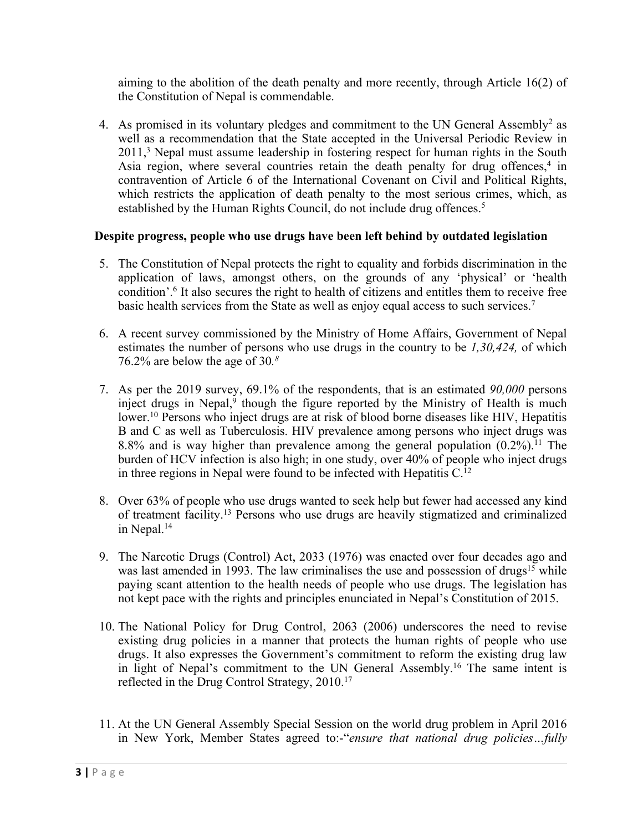aiming to the abolition of the death penalty and more recently, through Article 16(2) of the Constitution of Nepal is commendable.

4. As promised in its voluntary pledges and commitment to the UN General Assembly<sup>2</sup> as well as <sup>a</sup> recommendation that the State accepted in the Universal Periodic Review in 2011, <sup>3</sup> Nepal must assume leadership in fostering respec<sup>t</sup> for human rights in the South Asia region, where several countries retain the death penalty for drug offences,<sup>4</sup> in contravention of Article 6 of the International Covenant on Civil and Political Rights, which restricts the application of death penalty to the most serious crimes, which, as established by the Human Rights Council, do not include drug offences. 5

## **Despite progress, people who use drugs have been left behind by outdated legislation**

- 5. The Constitution of Nepal protects the right to equality and forbids discrimination in the application of laws, amongs<sup>t</sup> others, on the grounds of any 'physical' or 'health condition'. 6 It also secures the right to health of citizens and entitles them to receive free basic health services from the State as well as enjoy equal access to such services.<sup>7</sup>
- 6. A recent survey commissioned by the Ministry of Home Affairs, Government of Nepal estimates the number of persons who use drugs in the country to be *1,30,424,* of which 76.2% are below the age of 30*. 8*
- 7. As per the 2019 survey, 69.1% of the respondents, that is an estimated *90,000* persons inject drugs in Nepal,<sup>9</sup> though the figure reported by the Ministry of Health is much lower. 10 Persons who inject drugs are at risk of blood borne diseases like HIV, Hepatitis B and C as well as Tuberculosis. HIV prevalence among persons who inject drugs was 8.8% and is way higher than prevalence among the general population (0.2%). 11 The burden of HCV infection is also high; in one study, over 40% of people who inject drugs in three regions in Nepal were found to be infected with Hepatitis C. 12
- 8. Over 63% of people who use drugs wanted to seek help but fewer had accessed any kind of treatment facility. 13 Persons who use drugs are heavily stigmatized and criminalized in Nepal. 14
- 9. The Narcotic Drugs (Control) Act, 2033 (1976) was enacted over four decades ago and was last amended in 1993. The law criminalises the use and possession of drugs<sup>15</sup> while paying scant attention to the health needs of people who use drugs. The legislation has not kept pace with the rights and principles enunciated in Nepal'<sup>s</sup> Constitution of 2015.
- 10. The National Policy for Drug Control, 2063 (2006) underscores the need to revise existing drug policies in <sup>a</sup> manner that protects the human rights of people who use drugs. It also expresses the Government'<sup>s</sup> commitment to reform the existing drug law in light of Nepal'<sup>s</sup> commitment to the UN General Assembly. 16 The same intent is reflected in the Drug Control Strategy, 2010. 17
- 11. At the UN General Assembly Special Session on the world drug problem in April 2016 in New York, Member States agreed to:-"*ensure that national drug policies…fully*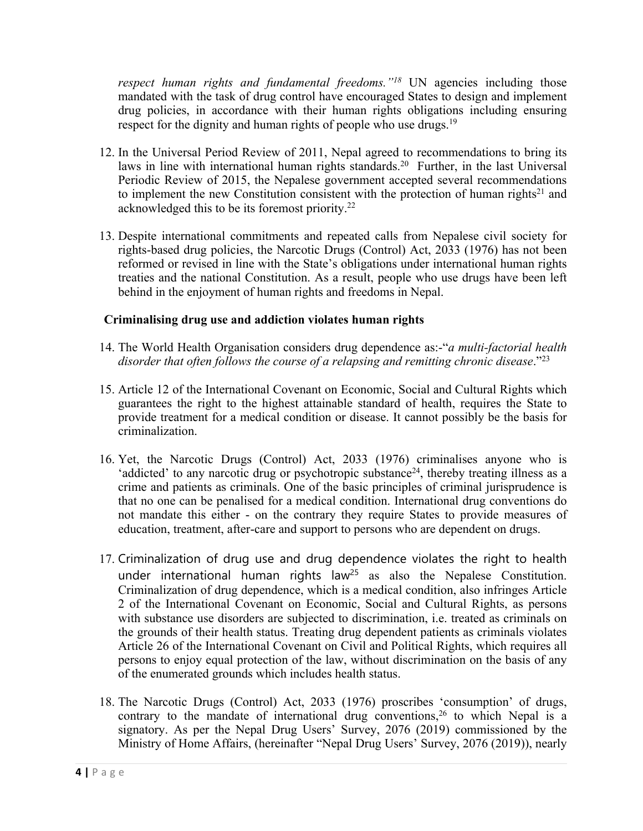*respec<sup>t</sup> human rights and fundamental freedoms."<sup>18</sup>* UN agencies including those mandated with the task of drug control have encouraged States to design and implement drug policies, in accordance with their human rights obligations including ensuring respect for the dignity and human rights of people who use drugs.<sup>19</sup>

- 12. In the Universal Period Review of 2011, Nepal agreed to recommendations to bring its laws in line with international human rights standards. 20 Further, in the last Universal Periodic Review of 2015, the Nepalese governmen<sup>t</sup> accepted several recommendations to implement the new Constitution consistent with the protection of human rights<sup>21</sup> and acknowledged this to be its foremost priority.<sup>22</sup>
- 13. Despite international commitments and repeated calls from Nepalese civil society for rights-based drug policies, the Narcotic Drugs (Control) Act, 2033 (1976) has not been reformed or revised in line with the State'<sup>s</sup> obligations under international human rights treaties and the national Constitution. As <sup>a</sup> result, people who use drugs have been left behind in the enjoyment of human rights and freedoms in Nepal.

## **Criminalising drug use and addiction violates human rights**

- 14. The World Health Organisation considers drug dependence as:-"*<sup>a</sup> multi-factorial health disorder that often follows the course of <sup>a</sup> relapsing and remitting chronic disease*."<sup>23</sup>
- 15. Article 12 of the International Covenant on Economic, Social and Cultural Rights which guarantees the right to the highest attainable standard of health, requires the State to provide treatment for <sup>a</sup> medical condition or disease. It cannot possibly be the basis for criminalization.
- 16. Yet, the Narcotic Drugs (Control) Act, 2033 (1976) criminalises anyone who is 'addicted' to any narcotic drug or psychotropic substance<sup>24</sup>, thereby treating illness as a crime and patients as criminals. One of the basic principles of criminal jurisprudence is that no one can be penalised for <sup>a</sup> medical condition. International drug conventions do not mandate this either - on the contrary they require States to provide measures of education, treatment, after-care and suppor<sup>t</sup> to persons who are dependent on drugs.
- 17. Criminalization of drug use and drug dependence violates the right to health under international human rights law<sup>25</sup> as also the Nepalese Constitution. Criminalization of drug dependence, which is <sup>a</sup> medical condition, also infringes Article 2 of the International Covenant on Economic, Social and Cultural Rights, as persons with substance use disorders are subjected to discrimination, i.e. treated as criminals on the grounds of their health status. Treating drug dependent patients as criminals violates Article 26 of the International Covenant on Civil and Political Rights, which requires all persons to enjoy equal protection of the law, without discrimination on the basis of any of the enumerated grounds which includes health status.
- 18. The Narcotic Drugs (Control) Act, 2033 (1976) proscribes 'consumption' of drugs, contrary to the mandate of international drug conventions, 26 to which Nepal is <sup>a</sup> signatory. As per the Nepal Drug Users' Survey, 2076 (2019) commissioned by the Ministry of Home Affairs, (hereinafter "Nepal Drug Users' Survey, 2076 (2019)), nearly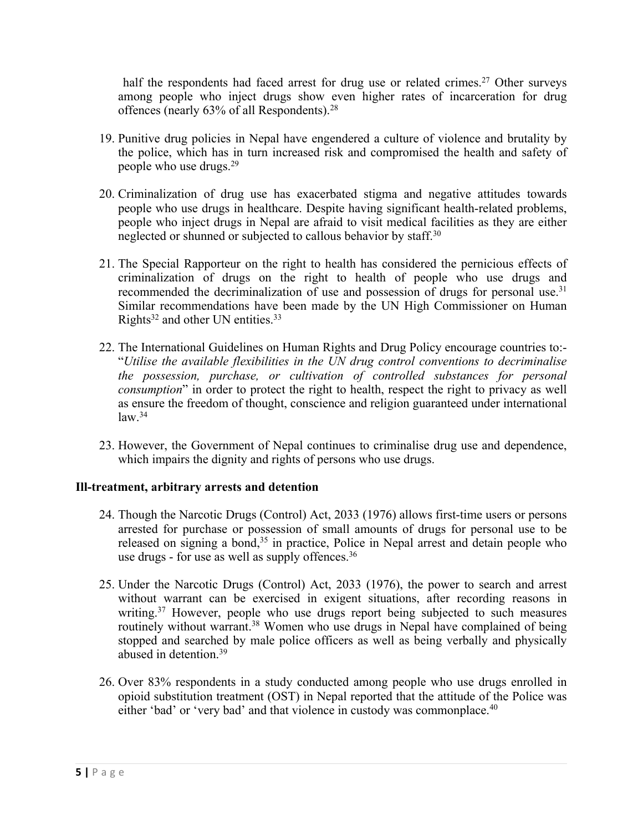half the respondents had faced arrest for drug use or related crimes.<sup>27</sup> Other surveys among people who inject drugs show even higher rates of incarceration for drug offences (nearly 63% of all Respondents). $^{28}$ 

- 19. Punitive drug policies in Nepal have engendered <sup>a</sup> culture of violence and brutality by the police, which has in turn increased risk and compromised the health and safety of people who use drugs. 29
- 20. Criminalization of drug use has exacerbated stigma and negative attitudes towards people who use drugs in healthcare. Despite having significant health-related problems, people who inject drugs in Nepal are afraid to visit medical facilities as they are either neglected or shunned or subjected to callous behavior by staff. 30
- 21. The Special Rapporteur on the right to health has considered the pernicious effects of criminalization of drugs on the right to health of people who use drugs and recommended the decriminalization of use and possession of drugs for personal use.<sup>31</sup> Similar recommendations have been made by the UN High Commissioner on Human Rights<sup>32</sup> and other UN entities.<sup>33</sup>
- 22. The International Guidelines on Human Rights and Drug Policy encourage countries to:- "*Utilise the available flexibilities in the UN drug control conventions to decriminalise the possession, purchase, or cultivation of controlled substances for personal consumption*" in order to protect the right to health, respec<sup>t</sup> the right to privacy as well as ensure the freedom of thought, conscience and religion guaranteed under international law. 34
- 23. However, the Government of Nepal continues to criminalise drug use and dependence, which impairs the dignity and rights of persons who use drugs.

#### **Ill-treatment, arbitrary arrests and detention**

- 24. Though the Narcotic Drugs (Control) Act, 2033 (1976) allows first-time users or persons arrested for purchase or possession of small amounts of drugs for personal use to be released on signing a bond,<sup>35</sup> in practice, Police in Nepal arrest and detain people who use drugs - for use as well as supply offences.<sup>36</sup>
- 25. Under the Narcotic Drugs (Control) Act, 2033 (1976), the power to search and arrest without warrant can be exercised in exigent situations, after recording reasons in writing. <sup>37</sup> However, people who use drugs repor<sup>t</sup> being subjected to such measures routinely without warrant.<sup>38</sup> Women who use drugs in Nepal have complained of being stopped and searched by male police officers as well as being verbally and physically abused in detention. 39
- 26. Over 83% respondents in <sup>a</sup> study conducted among people who use drugs enrolled in opioid substitution treatment (OST) in Nepal reported that the attitude of the Police was either 'bad' or 'very bad' and that violence in custody was commonplace. 40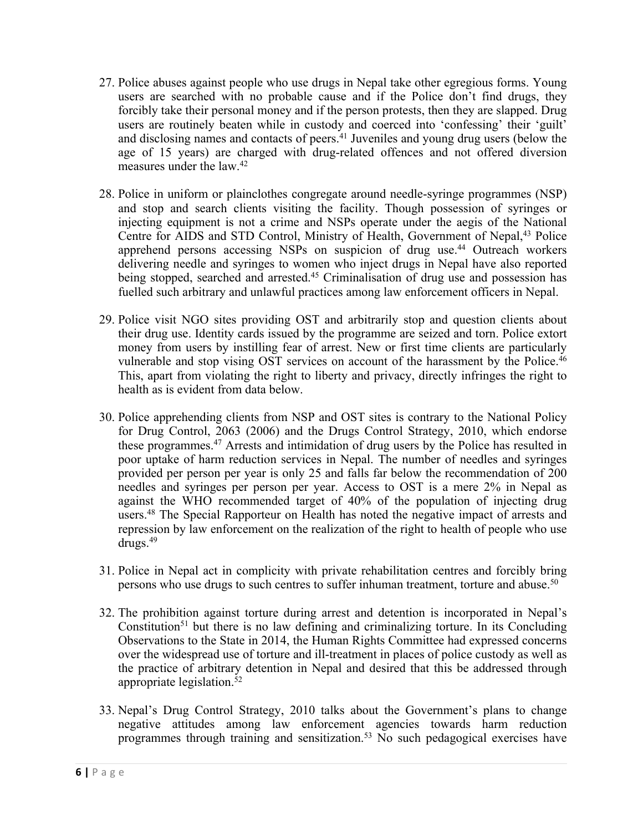- 27. Police abuses against people who use drugs in Nepal take other egregious forms. Young users are searched with no probable cause and if the Police don'<sup>t</sup> find drugs, they forcibly take their personal money and if the person protests, then they are slapped. Drug users are routinely beaten while in custody and coerced into 'confessing' their 'guilt' and disclosing names and contacts of peers. 41 Juveniles and young drug users (below the age of 15 years) are charged with drug-related offences and not offered diversion measures under the law. 42
- 28. Police in uniform or plainclothes congregate around needle-syringe programmes (NSP) and stop and search clients visiting the facility. Though possession of syringes or injecting equipment is not <sup>a</sup> crime and NSPs operate under the aegis of the National Centre for AIDS and STD Control, Ministry of Health, Government of Nepal, 43 Police apprehend persons accessing NSPs on suspicion of drug use. <sup>44</sup> Outreach workers delivering needle and syringes to women who inject drugs in Nepal have also reported being stopped, searched and arrested. <sup>45</sup> Criminalisation of drug use and possession has fuelled such arbitrary and unlawful practices among law enforcement officers in Nepal.
- 29. Police visit NGO sites providing OST and arbitrarily stop and question clients about their drug use. Identity cards issued by the programme are seized and torn. Police extort money from users by instilling fear of arrest. New or first time clients are particularly vulnerable and stop vising OST services on account of the harassment by the Police.<sup>46</sup> This, apar<sup>t</sup> from violating the right to liberty and privacy, directly infringes the right to health as is evident from data below.
- 30. Police apprehending clients from NSP and OST sites is contrary to the National Policy for Drug Control, 2063 (2006) and the Drugs Control Strategy, 2010, which endorse these programmes. <sup>47</sup> Arrests and intimidation of drug users by the Police has resulted in poor uptake of harm reduction services in Nepal. The number of needles and syringes provided per person per year is only 25 and falls far below the recommendation of 200 needles and syringes per person per year. Access to OST is <sup>a</sup> mere 2% in Nepal as against the WHO recommended target of 40% of the population of injecting drug users. 48 The Special Rapporteur on Health has noted the negative impact of arrests and repression by law enforcement on the realization of the right to health of people who use drugs. 49
- 31. Police in Nepal act in complicity with private rehabilitation centres and forcibly bring persons who use drugs to such centres to suffer inhuman treatment, torture and abuse.<sup>50</sup>
- 32. The prohibition against torture during arrest and detention is incorporated in Nepal'<sup>s</sup> Constitution<sup>51</sup> but there is no law defining and criminalizing torture. In its Concluding Observations to the State in 2014, the Human Rights Committee had expressed concerns over the widespread use of torture and ill-treatment in places of police custody as well as the practice of arbitrary detention in Nepal and desired that this be addressed through appropriate legislation. 52
- 33. Nepal'<sup>s</sup> Drug Control Strategy, 2010 talks about the Government'<sup>s</sup> plans to change negative attitudes among law enforcement agencies towards harm reduction programmes through training and sensitization. <sup>53</sup> No such pedagogical exercises have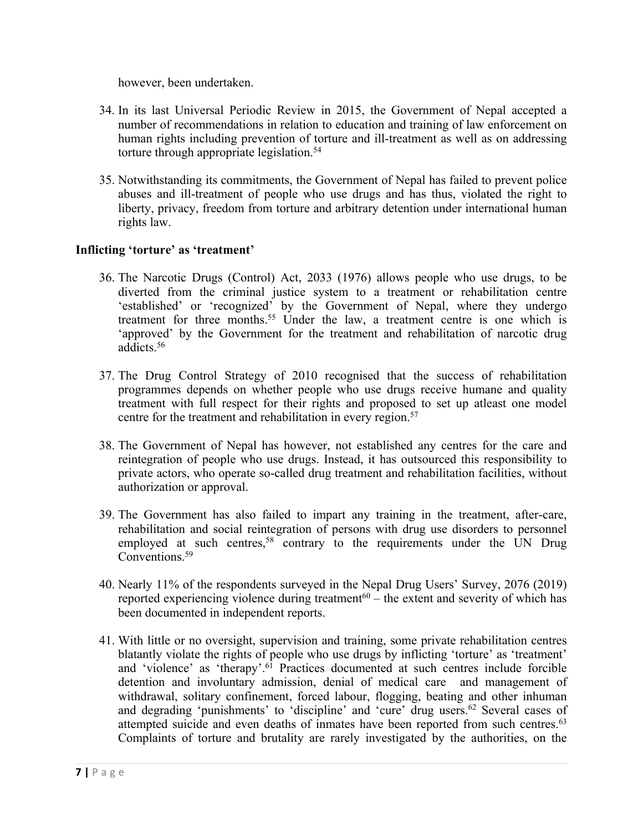however, been undertaken.

- 34. In its last Universal Periodic Review in 2015, the Government of Nepal accepted <sup>a</sup> number of recommendations in relation to education and training of law enforcement on human rights including prevention of torture and ill-treatment as well as on addressing torture through appropriate legislation. 54
- 35. Notwithstanding its commitments, the Government of Nepal has failed to preven<sup>t</sup> police abuses and ill-treatment of people who use drugs and has thus, violated the right to liberty, privacy, freedom from torture and arbitrary detention under international human rights law.

#### **Inflicting 'torture' as 'treatment'**

- 36. The Narcotic Drugs (Control) Act, 2033 (1976) allows people who use drugs, to be diverted from the criminal justice system to <sup>a</sup> treatment or rehabilitation centre 'established' or 'recognized' by the Government of Nepal, where they undergo treatment for three months. <sup>55</sup> Under the law, <sup>a</sup> treatment centre is one which is 'approved' by the Government for the treatment and rehabilitation of narcotic drug addicts. 56
- 37. The Drug Control Strategy of 2010 recognised that the success of rehabilitation programmes depends on whether people who use drugs receive humane and quality treatment with full respec<sup>t</sup> for their rights and proposed to set up atleast one model centre for the treatment and rehabilitation in every region. 57
- 38. The Government of Nepal has however, not established any centres for the care and reintegration of people who use drugs. Instead, it has outsourced this responsibility to private actors, who operate so-called drug treatment and rehabilitation facilities, without authorization or approval.
- 39. The Government has also failed to impart any training in the treatment, after-care, rehabilitation and social reintegration of persons with drug use disorders to personnel employed at such centres,<sup>58</sup> contrary to the requirements under the UN Drug Conventions.<sup>59</sup>
- 40. Nearly 11% of the respondents surveyed in the Nepal Drug Users' Survey, 2076 (2019) reported experiencing violence during treatment<sup>60</sup> – the extent and severity of which has been documented in independent reports.
- 41. With little or no oversight, supervision and training, some private rehabilitation centres blatantly violate the rights of people who use drugs by inflicting 'torture' as 'treatment' and 'violence' as 'therapy'. 61 Practices documented at such centres include forcible detention and involuntary admission, denial of medical care and managemen<sup>t</sup> of withdrawal, solitary confinement, forced labour, flogging, beating and other inhuman and degrading 'punishments' to 'discipline' and 'cure' drug users. 62 Several cases of attempted suicide and even deaths of inmates have been reported from such centres.<sup>63</sup> Complaints of torture and brutality are rarely investigated by the authorities, on the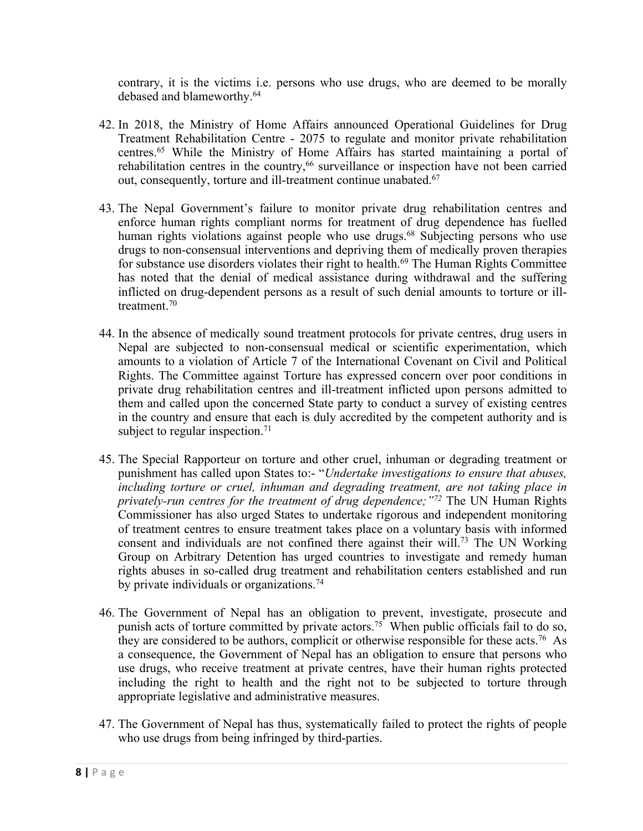contrary, it is the victims i.e. persons who use drugs, who are deemed to be morally debased and blameworthy. 64

- 42. In 2018, the Ministry of Home Affairs announced Operational Guidelines for Drug Treatment Rehabilitation Centre - 2075 to regulate and monitor private rehabilitation centres. <sup>65</sup> While the Ministry of Home Affairs has started maintaining <sup>a</sup> portal of rehabilitation centres in the country, 66 surveillance or inspection have not been carried out, consequently, torture and ill-treatment continue unabated.<sup>67</sup>
- 43. The Nepal Government'<sup>s</sup> failure to monitor private drug rehabilitation centres and enforce human rights compliant norms for treatment of drug dependence has fuelled human rights violations against people who use drugs. 68 Subjecting persons who use drugs to non-consensual interventions and depriving them of medically proven therapies for substance use disorders violates their right to health. 69 The Human Rights Committee has noted that the denial of medical assistance during withdrawal and the suffering inflicted on drug-dependent persons as <sup>a</sup> result of such denial amounts to torture or illtreatment.<sup>70</sup>
- 44. In the absence of medically sound treatment protocols for private centres, drug users in Nepal are subjected to non-consensual medical or scientific experimentation, which amounts to <sup>a</sup> violation of Article 7 of the International Covenant on Civil and Political Rights. The Committee against Torture has expressed concern over poor conditions in private drug rehabilitation centres and ill-treatment inflicted upon persons admitted to them and called upon the concerned State party to conduct <sup>a</sup> survey of existing centres in the country and ensure that each is duly accredited by the competent authority and is subject to regular inspection.<sup>71</sup>
- 45. The Special Rapporteur on torture and other cruel, inhuman or degrading treatment or punishment has called upon States to:- "*Undertake investigations to ensure that abuses, including torture or cruel, inhuman and degrading treatment, are not taking place in privately-run centres for the treatment of drug dependence;"<sup>72</sup>* The UN Human Rights Commissioner has also urged States to undertake rigorous and independent monitoring of treatment centres to ensure treatment takes place on <sup>a</sup> voluntary basis with informed consent and individuals are not confined there against their will. 73 The UN Working Group on Arbitrary Detention has urged countries to investigate and remedy human rights abuses in so-called drug treatment and rehabilitation centers established and run by private individuals or organizations. 74
- 46. The Government of Nepal has an obligation to prevent, investigate, prosecute and punish acts of torture committed by private actors. <sup>75</sup> When public officials fail to do so, they are considered to be authors, complicit or otherwise responsible for these acts.<sup>76</sup> As <sup>a</sup> consequence, the Government of Nepal has an obligation to ensure that persons who use drugs, who receive treatment at private centres, have their human rights protected including the right to health and the right not to be subjected to torture through appropriate legislative and administrative measures.
- 47. The Government of Nepal has thus, systematically failed to protect the rights of people who use drugs from being infringed by third-parties.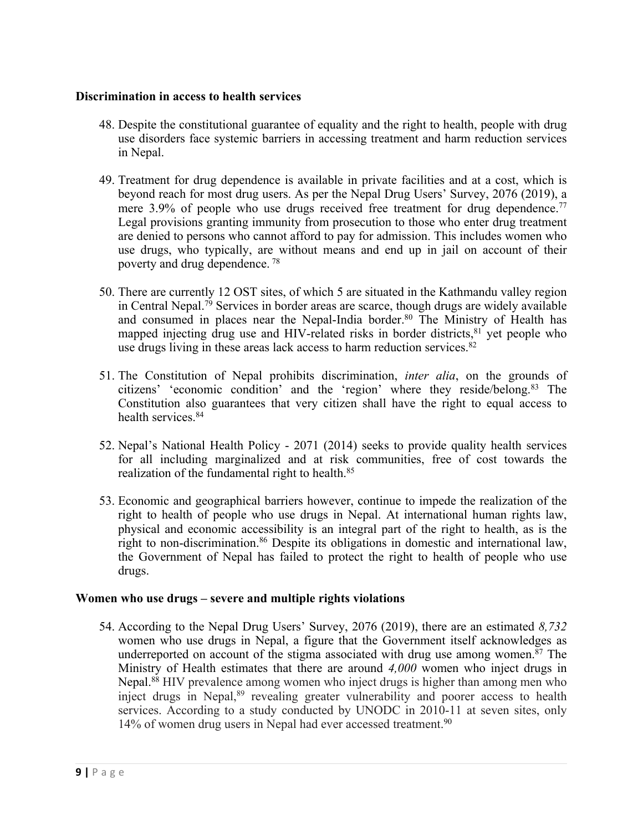#### **Discrimination in access to health services**

- 48. Despite the constitutional guarantee of equality and the right to health, people with drug use disorders face systemic barriers in accessing treatment and harm reduction services in Nepal.
- 49. Treatment for drug dependence is available in private facilities and at <sup>a</sup> cost, which is beyond reach for most drug users. As per the Nepal Drug Users' Survey, 2076 (2019), <sup>a</sup> mere 3.9% of people who use drugs received free treatment for drug dependence.<sup>77</sup> Legal provisions granting immunity from prosecution to those who enter drug treatment are denied to persons who cannot afford to pay for admission. This includes women who use drugs, who typically, are without means and end up in jail on account of their poverty and drug dependence. 78
- 50. There are currently 12 OST sites, of which 5 are situated in the Kathmandu valley region in Central Nepal. 79 Services in border areas are scarce, though drugs are widely available and consumed in places near the Nepal-India border. 80 The Ministry of Health has mapped injecting drug use and HIV-related risks in border districts, <sup>81</sup> yet people who use drugs living in these areas lack access to harm reduction services. 82
- 51. The Constitution of Nepal prohibits discrimination, *inter alia*, on the grounds of citizens' 'economic condition' and the 'region' where they reside/belong. 83 The Constitution also guarantees that very citizen shall have the right to equal access to health services. 84
- 52. Nepal'<sup>s</sup> National Health Policy 2071 (2014) seeks to provide quality health services for all including marginalized and at risk communities, free of cost towards the realization of the fundamental right to health. 85
- 53. Economic and geographical barriers however, continue to impede the realization of the right to health of people who use drugs in Nepal. At international human rights law, physical and economic accessibility is an integral par<sup>t</sup> of the right to health, as is the right to non-discrimination. <sup>86</sup> Despite its obligations in domestic and international law, the Government of Nepal has failed to protect the right to health of people who use drugs.

#### **Women who use drugs – severe and multiple rights violations**

54. According to the Nepal Drug Users' Survey, 2076 (2019), there are an estimated *8,732* women who use drugs in Nepal, <sup>a</sup> figure that the Government itself acknowledges as underreported on account of the stigma associated with drug use among women. 87 The Ministry of Health estimates that there are around *4,000* women who inject drugs in Nepal. <sup>88</sup> HIV prevalence among women who inject drugs is higher than among men who inject drugs in Nepal,<sup>89</sup> revealing greater vulnerability and poorer access to health services. According to <sup>a</sup> study conducted by UNODC in 2010-11 at seven sites, only 14% of women drug users in Nepal had ever accessed treatment.<sup>90</sup>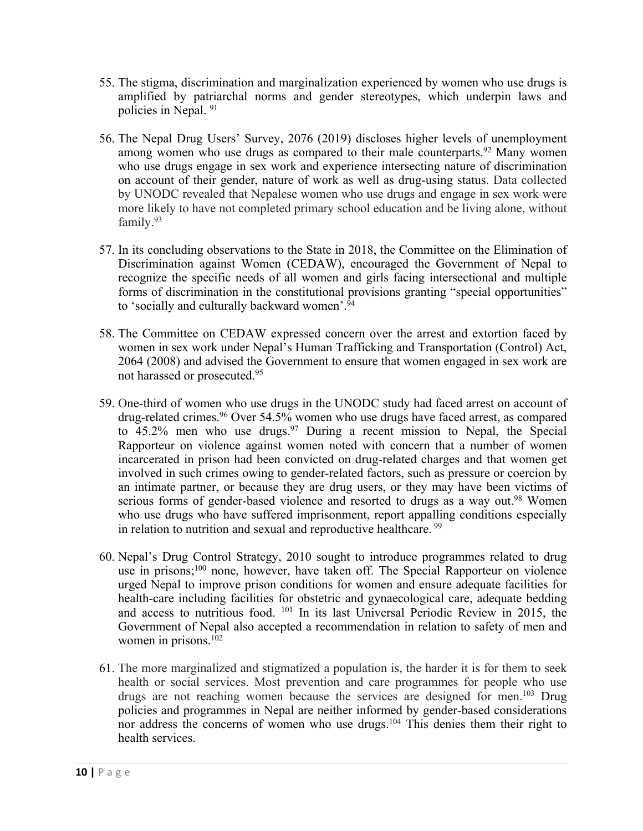- 55. The stigma, discrimination and marginalization experienced by women who use drugs is amplified by patriarchal norms and gender stereotypes, which underpin laws and policies in Nepal. 91
- 56. The Nepal Drug Users' Survey, 2076 (2019) discloses higher levels of unemployment among women who use drugs as compared to their male counterparts.<sup>92</sup> Many women who use drugs engage in sex work and experience intersecting nature of discrimination on account of their gender, nature of work as well as drug-using status. Data collected by UNODC revealed that Nepalese women who use drugs and engage in sex work were more likely to have not completed primary school education and be living alone, without family. 93
- 57. In its concluding observations to the State in 2018, the Committee on the Elimination of Discrimination against Women (CEDAW), encouraged the Government of Nepal to recognize the specific needs of all women and girls facing intersectional and multiple forms of discrimination in the constitutional provisions granting "special opportunities" to 'socially and culturally backward women'. 94
- 58. The Committee on CEDAW expressed concern over the arrest and extortion faced by women in sex work under Nepal'<sup>s</sup> Human Trafficking and Transportation (Control) Act, 2064 (2008) and advised the Government to ensure that women engaged in sex work are not harassed or prosecuted. 95
- 59. One-third of women who use drugs in the UNODC study had faced arrest on account of drug-related crimes. <sup>96</sup> Over 54.5% women who use drugs have faced arrest, as compared to 45.2% men who use drugs. <sup>97</sup> During <sup>a</sup> recent mission to Nepal, the Special Rapporteur on violence against women noted with concern that <sup>a</sup> number of women incarcerated in prison had been convicted on drug-related charges and that women ge<sup>t</sup> involved in such crimes owing to gender-related factors, such as pressure or coercion by an intimate partner, or because they are drug users, or they may have been victims of serious forms of gender-based violence and resorted to drugs as a way out.<sup>98</sup> Women who use drugs who have suffered imprisonment, repor<sup>t</sup> appalling conditions especially in relation to nutrition and sexual and reproductive healthcare.<sup>99</sup>
- 60. Nepal'<sup>s</sup> Drug Control Strategy, 2010 sought to introduce programmes related to drug use in prisons; 100 none, however, have taken off. The Special Rapporteur on violence urged Nepal to improve prison conditions for women and ensure adequate facilities for health-care including facilities for obstetric and gynaecological care, adequate bedding and access to nutritious food. 101 In its last Universal Periodic Review in 2015, the Government of Nepal also accepted <sup>a</sup> recommendation in relation to safety of men and women in prisons. 102
- 61. The more marginalized and stigmatized <sup>a</sup> population is, the harder it is for them to seek health or social services. Most prevention and care programmes for people who use drugs are not reaching women because the services are designed for men. <sup>103</sup> Drug policies and programmes in Nepal are neither informed by gender-based considerations nor address the concerns of women who use drugs.<sup>104</sup> This denies them their right to health services.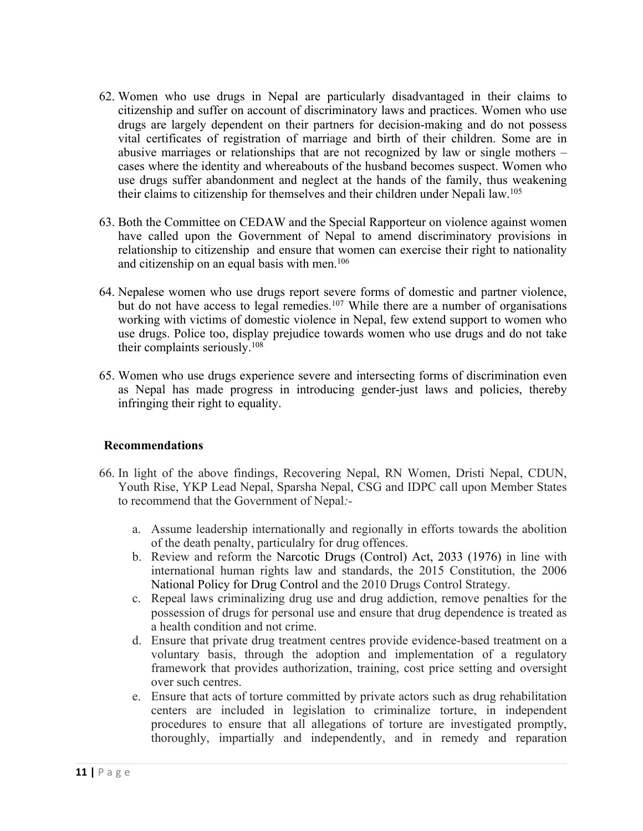- 62. Women who use drugs in Nepal are particularly disadvantaged in their claims to citizenship and suffer on account of discriminatory laws and practices. Women who use drugs are largely dependent on their partners for decision-making and do not possess vital certificates of registration of marriage and birth of their children. Some are in abusive marriages or relationships that are not recognized by law or single mothers – cases where the identity and whereabouts of the husband becomes suspect. Women who use drugs suffer abandonment and neglect at the hands of the family, thus weakening their claims to citizenship for themselves and their children under Nepali law. 105
- 63. Both the Committee on CEDAW and the Special Rapporteur on violence against women have called upon the Government of Nepal to amend discriminatory provisions in relationship to citizenship and ensure that women can exercise their right to nationality and citizenship on an equal basis with men. 106
- 64. Nepalese women who use drugs repor<sup>t</sup> severe forms of domestic and partner violence, but do not have access to legal remedies.<sup>107</sup> While there are a number of organisations working with victims of domestic violence in Nepal, few extend suppor<sup>t</sup> to women who use drugs. Police too, display prejudice towards women who use drugs and do not take their complaints seriously. 108
- 65. Women who use drugs experience severe and intersecting forms of discrimination even as Nepal has made progress in introducing gender-just laws and policies, thereby infringing their right to equality.

## **Recommendations**

- 66. In light of the above findings, Recovering Nepal, RN Women, Dristi Nepal, CDUN, Youth Rise, YKP Lead Nepal, Sparsha Nepal, CSG and IDPC call upon Member States to recommend that the Government of Nepal*:*
	- a. Assume leadership internationally and regionally in efforts towards the abolition of the death penalty, particulalry for drug offences.
	- b. Review and reform the Narcotic Drugs (Control) Act, 2033 (1976) in line with international human rights law and standards, the 2015 Constitution, the 2006 National Policy for Drug Control and the 2010 Drugs Control Strategy.
	- c. Repeal laws criminalizing drug use and drug addiction, remove penalties for the possession of drugs for personal use and ensure that drug dependence is treated as <sup>a</sup> health condition and not crime.
	- d. Ensure that private drug treatment centres provide evidence-based treatment on <sup>a</sup> voluntary basis, through the adoption and implementation of <sup>a</sup> regulatory framework that provides authorization, training, cost price setting and oversight over such centres.
	- e. Ensure that acts of torture committed by private actors such as drug rehabilitation centers are included in legislation to criminalize torture, in independent procedures to ensure that all allegations of torture are investigated promptly, thoroughly, impartially and independently, and in remedy and reparation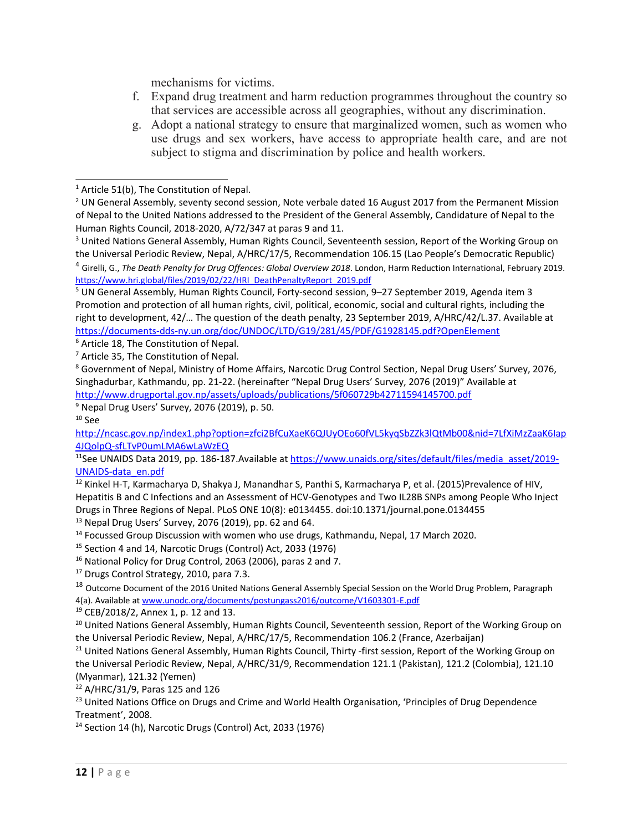mechanisms for victims.

- f. Expand drug treatment and harm reduction programmes throughout the country so that services are accessible across all geographies, without any discrimination.
- g. Adopt <sup>a</sup> national strategy to ensure that marginalized women, such as women who use drugs and sex workers, have access to appropriate health care, and are not subject to stigma and discrimination by police and health workers.

5 UN General Assembly, Human Rights Council, Forty-second session, 9–27 September 2019, Agenda item 3 Promotion and protection of all human rights, civil, political, economic, social and cultural rights, including the right to development, 42/… The question of the death penalty, 23 September 2019, A/HRC/42/L.37. Available at <https://documents-dds-ny.un.org/doc/UNDOC/LTD/G19/281/45/PDF/G1928145.pdf?OpenElement>

<sup>6</sup> Article 18, The Constitution of Nepal.

9 Nepal Drug Users' Survey, 2076 (2019), p. 50.  $^{\rm 10}$  See

[http://ncasc.gov.np/index1.php?option=zfci2BfCuXaeK6QJUyOEo60fVL5kyqSbZZk3lQtMb00&nid=7LfXiMzZaaK6Iap](http://ncasc.gov.np/index1.php?option=zfci2BfCuXaeK6QJUyOEo60fVL5kyqSbZZk3lQtMb00&nid=7LfXiMzZaaK6Iap4JQolpQ-sfLTvP0umLMA6wLaWzEQ) [4JQolpQ-sfLTvP0umLMA6wLaWzEQ](http://ncasc.gov.np/index1.php?option=zfci2BfCuXaeK6QJUyOEo60fVL5kyqSbZZk3lQtMb00&nid=7LfXiMzZaaK6Iap4JQolpQ-sfLTvP0umLMA6wLaWzEQ)

<sup>11</sup>See UNAIDS Data 2019, pp. 186-187.Available at [https://www.unaids.org/sites/default/files/media\\_asset/2019-](https://www.unaids.org/sites/default/files/media_asset/2019-UNAIDS-data_en.pdf) [UNAIDS-data\\_en.pdf](https://www.unaids.org/sites/default/files/media_asset/2019-UNAIDS-data_en.pdf)

 $^{12}$  Kinkel H-T, Karmacharya D, Shakya J, Manandhar S, Panthi S, Karmacharya P, et al. (2015)Prevalence of HIV, Hepatitis B and C Infections and an Assessment of HCV-Genotypes and Two IL28B SNPs among People Who Inject Drugs in Three Regions of Nepal. PLoS ONE 10(8): e0134455. doi:10.1371/journal.pone.0134455

<sup>13</sup> Nepal Drug Users' Survey, 2076 (2019), pp. 62 and 64.

<sup>14</sup> Focussed Group Discussion with women who use drugs, Kathmandu, Nepal, 17 March 2020.

<sup>15</sup> Section 4 and 14, Narcotic Drugs (Control) Act, 2033 (1976)

<sup>16</sup> National Policy for Drug Control, 2063 (2006), paras 2 and 7.

<sup>17</sup> Drugs Control Strategy, 2010, para 7.3.

<sup>18</sup> Outcome Document of the 2016 United Nations General Assembly Special Session on the World Drug Problem, Paragraph 4(a). Available at [www.unodc.org/documents/postungass2016/outcome/V1603301-E.pdf](http://www.unodc.org/documents/postungass2016/outcome/V1603301-E.pdf)

<sup>19</sup> CEB/2018/2, Annex 1, p. 12 and 13.

<sup>20</sup> United Nations General Assembly, Human Rights Council, Seventeenth session, Report of the Working Group on the Universal Periodic Review, Nepal, A/HRC/17/5, Recommendation 106.2 (France, Azerbaijan)

<sup>21</sup> United Nations General Assembly, Human Rights Council, Thirty -first session, Report of the Working Group on the Universal Periodic Review, Nepal, A/HRC/31/9, Recommendation 121.1 (Pakistan), 121.2 (Colombia), 121.10 (Myanmar), 121.32 (Yemen)

<sup>22</sup> A/HRC/31/9, Paras 125 and 126

<sup>23</sup> United Nations Office on Drugs and Crime and World Health Organisation, 'Principles of Drug Dependence Treatment', 2008.

<sup>24</sup> Section 14 (h), Narcotic Drugs (Control) Act, 2033 (1976)

<sup>&</sup>lt;sup>1</sup> Article 51(b), The Constitution of Nepal.

<sup>&</sup>lt;sup>2</sup> UN General Assembly, seventy second session, Note verbale dated 16 August 2017 from the Permanent Mission of Nepal to the United Nations addressed to the President of the General Assembly, Candidature of Nepal to the Human Rights Council, 2018-2020, A/72/347 at paras 9 and 11.

<sup>&</sup>lt;sup>3</sup> United Nations General Assembly, Human Rights Council, Seventeenth session, Report of the Working Group on the Universal Periodic Review, Nepal, A/HRC/17/5, Recommendation 106.15 (Lao People'<sup>s</sup> Democratic Republic) 4 Girelli, G., *The Death Penalty for Drug Offences: Global Overview 2018*. London, Harm Reduction International, February 2019.

[https://www.hri.global/files/2019/02/22/HRI\\_DeathPenaltyReport\\_2019.pdf](https://www.hri.global/files/2019/02/22/HRI_DeathPenaltyReport_2019.pdf)

<sup>7</sup> Article 35, The Constitution of Nepal.

<sup>&</sup>lt;sup>8</sup> Government of Nepal, Ministry of Home Affairs, Narcotic Drug Control Section, Nepal Drug Users' Survey, 2076, Singhadurbar, Kathmandu, pp. 21-22. (hereinafter "Nepal Drug Users' Survey, 2076 (2019)" Available at <http://www.drugportal.gov.np/assets/uploads/publications/5f060729b42711594145700.pdf>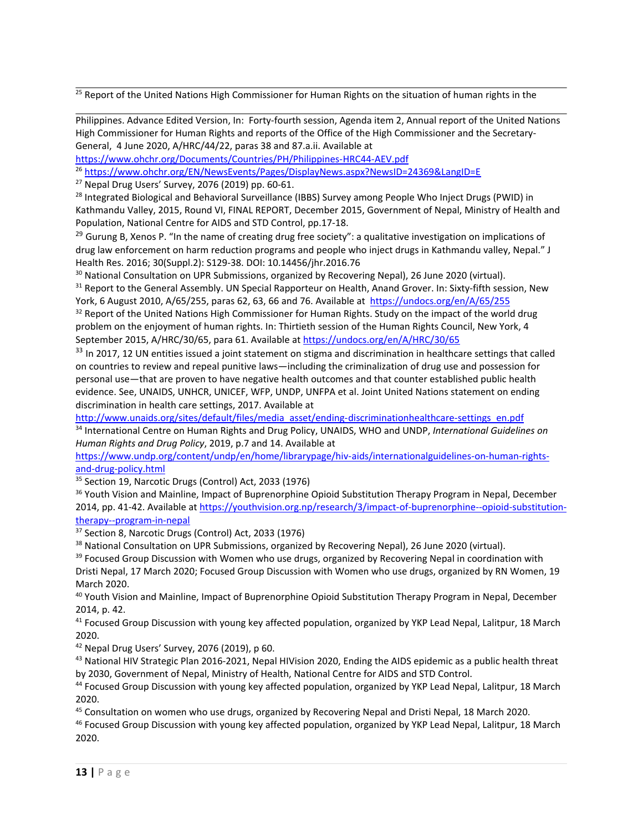<sup>25</sup> Report of the United Nations High Commissioner for Human Rights on the situation of human rights in the

Philippines. Advance Edited Version, In: Forty-fourth session, Agenda item 2, Annual report of the United Nations High Commissioner for Human Rights and reports of the Office of the High Commissioner and the Secretary-General, 4 June 2020, A/HRC/44/22, paras 38 and 87.a.ii. Available at

<https://www.ohchr.org/Documents/Countries/PH/Philippines-HRC44-AEV.pdf>

26 <https://www.ohchr.org/EN/NewsEvents/Pages/DisplayNews.aspx?NewsID=24369&LangID=E>

<sup>27</sup> Nepal Drug Users' Survey, 2076 (2019) pp. 60-61.

<sup>28</sup> Integrated Biological and Behavioral Surveillance (IBBS) Survey among People Who Inject Drugs (PWID) in Kathmandu Valley, 2015, Round VI, FINAL REPORT, December 2015, Government of Nepal, Ministry of Health and Population, National Centre for AIDS and STD Control, pp.17-18.

<sup>29</sup> Gurung B, Xenos P. "In the name of creating drug free society": a qualitative investigation on implications of drug law enforcement on harm reduction programs and people who inject drugs in Kathmandu valley, Nepal." J Health Res. 2016; 30(Suppl.2): S129-38. DOI: 10.14456/jhr.2016.76

<sup>30</sup> National Consultation on UPR Submissions, organized by Recovering Nepal), 26 June 2020 (virtual).

 $^{31}$  Report to the General Assembly. UN Special Rapporteur on Health, Anand Grover. In: Sixty-fifth session, New York, 6 August 2010, A/65/255, paras 62, 63, 66 and 76. Available at <https://undocs.org/en/A/65/255>

 $^{32}$  Report of the United Nations High Commissioner for Human Rights. Study on the impact of the world drug problem on the enjoyment of human rights. In: Thirtieth session of the Human Rights Council, New York, 4 September 2015, A/HRC/30/65, para 61. Available at <https://undocs.org/en/A/HRC/30/65>

 $33$  In 2017, 12 UN entities issued a joint statement on stigma and discrimination in healthcare settings that called on countries to review and repeal punitive laws—including the criminalization of drug use and possession for personal use—that are proven to have negative health outcomes and that counter established public health evidence. See, UNAIDS, UNHCR, UNICEF, WFP, UNDP, UNFPA et al. Joint United Nations statement on ending discrimination in health care settings, 2017. Available at

[http://www.unaids.org/sites/default/files/media\\_asset/ending-discriminationhealthcare-settings\\_en.pdf](http://www.unaids.org/sites/default/files/media_asset/ending-discriminationhealthcare-settings_en.pdf) 34 International Centre on Human Rights and Drug Policy, UNAIDS, WHO and UNDP, *International Guidelines on Human Rights and Drug Policy*, 2019, p.7 and 14. Available at

[https://www.undp.org/content/undp/en/home/librarypage/hiv-aids/internationalguidelines-on-human-rights](https://www.undp.org/content/undp/en/home/librarypage/hiv-aids/internationalguidelines-on-human-rights-and-drug-policy.html)[and-drug-policy.html](https://www.undp.org/content/undp/en/home/librarypage/hiv-aids/internationalguidelines-on-human-rights-and-drug-policy.html)

<sup>35</sup> Section 19, Narcotic Drugs (Control) Act, 2033 (1976)

<sup>36</sup> Youth Vision and Mainline, Impact of Buprenorphine Opioid Substitution Therapy Program in Nepal, December 2014, pp. 41-42. Available at [https://youthvision.org.np/research/3/impact-of-buprenorphine--opioid-substitution](https://youthvision.org.np/research/3/impact-of-buprenorphine--opioid-substitution-therapy--program-in-nepal)[therapy--program-in-nepal](https://youthvision.org.np/research/3/impact-of-buprenorphine--opioid-substitution-therapy--program-in-nepal)

<sup>37</sup> Section 8, Narcotic Drugs (Control) Act, 2033 (1976)

<sup>38</sup> National Consultation on UPR Submissions, organized by Recovering Nepal), 26 June 2020 (virtual).

<sup>39</sup> Focused Group Discussion with Women who use drugs, organized by Recovering Nepal in coordination with Dristi Nepal, 17 March 2020; Focused Group Discussion with Women who use drugs, organized by RN Women, 19 March 2020.

<sup>40</sup> Youth Vision and Mainline, Impact of Buprenorphine Opioid Substitution Therapy Program in Nepal, December 2014, p. 42.

<sup>41</sup> Focused Group Discussion with young key affected population, organized by YKP Lead Nepal, Lalitpur, 18 March 2020.

42 Nepal Drug Users' Survey, 2076 (2019), p 60.

<sup>43</sup> National HIV Strategic Plan 2016-2021, Nepal HIVision 2020, Ending the AIDS epidemic as a public health threat by 2030, Government of Nepal, Ministry of Health, National Centre for AIDS and STD Control.

<sup>44</sup> Focused Group Discussion with young key affected population, organized by YKP Lead Nepal, Lalitpur, 18 March 2020.

<sup>45</sup> Consultation on women who use drugs, organized by Recovering Nepal and Dristi Nepal, 18 March 2020.

<sup>46</sup> Focused Group Discussion with young key affected population, organized by YKP Lead Nepal, Lalitpur, 18 March 2020.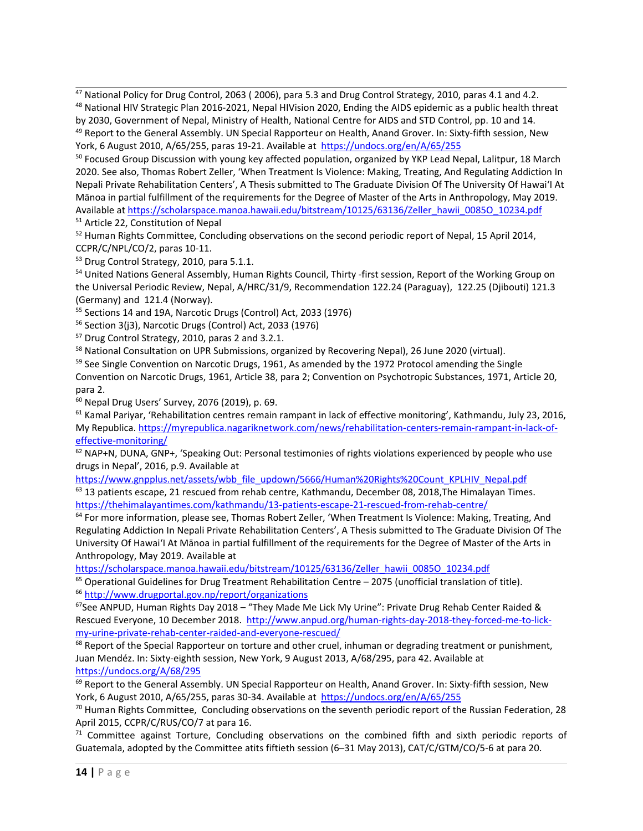$^{47}$  National Policy for Drug Control, 2063 (2006), para 5.3 and Drug Control Strategy, 2010, paras 4.1 and 4.2. <sup>48</sup> National HIV Strategic Plan 2016-2021, Nepal HIVision 2020, Ending the AIDS epidemic as a public health threat by 2030, Government of Nepal, Ministry of Health, National Centre for AIDS and STD Control, pp. 10 and 14. <sup>49</sup> Report to the General Assembly. UN Special Rapporteur on Health, Anand Grover. In: Sixty-fifth session, New

<sup>50</sup> Focused Group Discussion with young key affected population, organized by YKP Lead Nepal, Lalitpur, 18 March 2020. See also, Thomas Robert Zeller, 'When Treatment Is Violence: Making, Treating, And Regulating Addiction In Nepali Private Rehabilitation Centers', A Thesis submitted to The Graduate Division Of The University Of Hawai'I At Mānoa in partial fulfillment of the requirements for the Degree of Master of the Arts in Anthropology, May 2019. Available at [https://scholarspace.manoa.hawaii.edu/bitstream/10125/63136/Zeller\\_hawii\\_0085O\\_10234.pdf](https://scholarspace.manoa.hawaii.edu/bitstream/10125/63136/Zeller_hawii_0085O_10234.pdf) <sup>51</sup> Article 22, Constitution of Nepal

 $^{52}$  Human Rights Committee, Concluding observations on the second periodic report of Nepal, 15 April 2014, CCPR/C/NPL/CO/2, paras 10-11.

<sup>53</sup> Drug Control Strategy, 2010, para 5.1.1.

<sup>54</sup> United Nations General Assembly, Human Rights Council, Thirty -first session, Report of the Working Group on the Universal Periodic Review, Nepal, A/HRC/31/9, Recommendation 122.24 (Paraguay), 122.25 (Djibouti) 121.3 (Germany) and 121.4 (Norway).

55 Sections 14 and 19A, Narcotic Drugs (Control) Act, 2033 (1976)

<sup>56</sup> Section 3(j3), Narcotic Drugs (Control) Act, 2033 (1976)

57 Drug Control Strategy, 2010, paras 2 and 3.2.1.

<sup>58</sup> National Consultation on UPR Submissions, organized by Recovering Nepal), 26 June 2020 (virtual).

<sup>59</sup> See Single Convention on Narcotic Drugs, 1961, As amended by the 1972 Protocol amending the Single

Convention on Narcotic Drugs, 1961, Article 38, para 2; Convention on Psychotropic Substances, 1971, Article 20, para 2.

60 Nepal Drug Users' Survey, 2076 (2019), p. 69.

<sup>61</sup> Kamal Pariyar, 'Rehabilitation centres remain rampant in lack of effective monitoring', Kathmandu, July 23, 2016, My Republica. [https://myrepublica.nagariknetwork.com/news/rehabilitation-centers-remain-rampant-in-lack-of](https://myrepublica.nagariknetwork.com/news/rehabilitation-centers-remain-rampant-in-lack-of-effective-monitoring/)[effective-monitoring/](https://myrepublica.nagariknetwork.com/news/rehabilitation-centers-remain-rampant-in-lack-of-effective-monitoring/)

 $^{62}$  NAP+N, DUNA, GNP+, 'Speaking Out: Personal testimonies of rights violations experienced by people who use drugs in Nepal', 2016, p.9. Available at

[https://www.gnpplus.net/assets/wbb\\_file\\_updown/5666/Human%20Rights%20Count\\_KPLHIV\\_Nepal.pdf](https://www.gnpplus.net/assets/wbb_file_updown/5666/Human%20Rights%20Count_KPLHIV_Nepal.pdf)

 $^{63}$  13 patients escape, 21 rescued from rehab centre, Kathmandu, December 08, 2018,The Himalayan Times. <https://thehimalayantimes.com/kathmandu/13-patients-escape-21-rescued-from-rehab-centre/>

<sup>64</sup> For more information, please see, Thomas Robert Zeller, 'When Treatment Is Violence: Making, Treating, And Regulating Addiction In Nepali Private Rehabilitation Centers', A Thesis submitted to The Graduate Division Of The University Of Hawai'I At Mānoa in partial fulfillment of the requirements for the Degree of Master of the Arts in Anthropology, May 2019. Available at

[https://scholarspace.manoa.hawaii.edu/bitstream/10125/63136/Zeller\\_hawii\\_0085O\\_10234.pdf](https://scholarspace.manoa.hawaii.edu/bitstream/10125/63136/Zeller_hawii_0085O_10234.pdf)

<sup>65</sup> Operational Guidelines for Drug Treatment Rehabilitation Centre – 2075 (unofficial translation of title). <sup>66</sup><http://www.drugportal.gov.np/report/organizations>

<sup>67</sup>See ANPUD, Human Rights Day 2018 – "They Made Me Lick My Urine": Private Drug Rehab Center Raided & Rescued Everyone, 10 December 2018. [http://www.anpud.org/human-rights-day-2018-they-forced-me-to-lick](http://www.anpud.org/human-rights-day-2018-they-forced-me-to-lick-my-urine-private-rehab-center-raided-and-everyone-rescued/)[my-urine-private-rehab-center-raided-and-everyone-rescued/](http://www.anpud.org/human-rights-day-2018-they-forced-me-to-lick-my-urine-private-rehab-center-raided-and-everyone-rescued/)

<sup>68</sup> Report of the Special Rapporteur on torture and other cruel, inhuman or degrading treatment or punishment, Juan Mendéz. In: Sixty-eighth session, New York, 9 August 2013, A/68/295, para 42. Available at <https://undocs.org/A/68/295>

 $^{69}$  Report to the General Assembly. UN Special Rapporteur on Health, Anand Grover. In: Sixty-fifth session, New York, 6 August 2010, A/65/255, paras 30-34. Available at <https://undocs.org/en/A/65/255>

 $^{70}$  Human Rights Committee, Concluding observations on the seventh periodic report of the Russian Federation, 28 April 2015, CCPR/C/RUS/CO/7 at para 16.

<sup>71</sup> Committee against Torture, Concluding observations on the combined fifth and sixth periodic reports of Guatemala, adopted by the Committee atits fiftieth session (6–31 May 2013), CAT/C/GTM/CO/5-6 at para 20.

York, 6 August 2010, A/65/255, paras 19-21. Available at <https://undocs.org/en/A/65/255>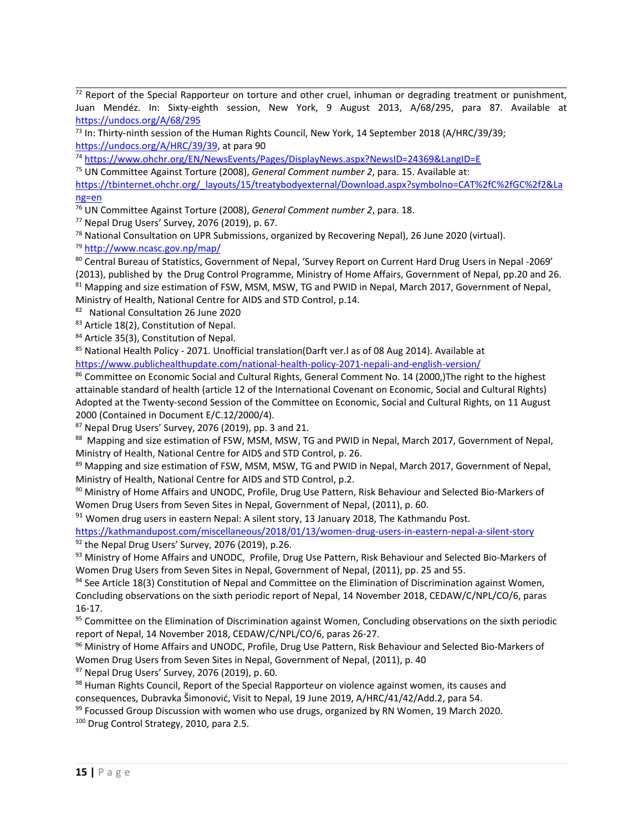$^{72}$  Report of the Special Rapporteur on torture and other cruel, inhuman or degrading treatment or punishment, Juan Mendéz. In: Sixty-eighth session, New York, 9 August 2013, A/68/295, para 87. Available at <https://undocs.org/A/68/295>

<sup>73</sup> In: Thirty-ninth session of the Human Rights Council, New York, 14 September 2018 (A/HRC/39/39; <https://undocs.org/A/HRC/39/39>, at para 90

74 <https://www.ohchr.org/EN/NewsEvents/Pages/DisplayNews.aspx?NewsID=24369&LangID=E>

75 UN Committee Against Torture (2008), *General Comment number 2*, para. 15. Available at:

[https://tbinternet.ohchr.org/\\_layouts/15/treatybodyexternal/Download.aspx?symbolno=CAT%2fC%2fGC%2f2&La](https://tbinternet.ohchr.org/_layouts/15/treatybodyexternal/Download.aspx?symbolno=CAT%2fC%2fGC%2f2&Lang=en) [ng=en](https://tbinternet.ohchr.org/_layouts/15/treatybodyexternal/Download.aspx?symbolno=CAT%2fC%2fGC%2f2&Lang=en)

76 UN Committee Against Torture (2008), *General Comment number 2*, para. 18.

77 Nepal Drug Users' Survey, 2076 (2019), p. 67.

<sup>78</sup> National Consultation on UPR Submissions, organized by Recovering Nepal), 26 June 2020 (virtual).

<sup>79</sup> <http://www.ncasc.gov.np/map/>

80 Central Bureau of Statistics, Government of Nepal, 'Survey Report on Current Hard Drug Users in Nepal -2069' (2013), published by the Drug Control Programme, Ministry of Home Affairs, Government of Nepal, pp.20 and 26. 81 Mapping and size estimation of FSW, MSM, MSW, TG and PWID in Nepal, March 2017, Government of Nepal, Ministry of Health, National Centre for AIDS and STD Control, p.14.

<sup>82</sup> National Consultation 26 June 2020

<sup>83</sup> Article 18(2), Constitution of Nepal.

<sup>84</sup> Article 35(3), Constitution of Nepal.

 $\mathrm{^{85}}$  National Health Policy - 2071. Unofficial translation(Darft ver.l as of 08 Aug 2014). Available at

<https://www.publichealthupdate.com/national-health-policy-2071-nepali-and-english-version/>

<sup>86</sup> Committee on Economic Social and Cultural Rights, General Comment No. 14 (2000,)The right to the highest attainable standard of health (article 12 of the International Covenant on Economic, Social and Cultural Rights) Adopted at the Twenty-second Session of the Committee on Economic, Social and Cultural Rights, on 11 August 2000 (Contained in Document E/C.12/2000/4).

87 Nepal Drug Users' Survey, 2076 (2019), pp. 3 and 21.

88 Mapping and size estimation of FSW, MSM, MSW, TG and PWID in Nepal, March 2017, Government of Nepal, Ministry of Health, National Centre for AIDS and STD Control, p. 26.

89 Mapping and size estimation of FSW, MSM, MSW, TG and PWID in Nepal, March 2017, Government of Nepal, Ministry of Health, National Centre for AIDS and STD Control, p.2.

90 Ministry of Home Affairs and UNODC, Profile, Drug Use Pattern, Risk Behaviour and Selected Bio-Markers of Women Drug Users from Seven Sites in Nepal, Government of Nepal, (2011), p. 60.

 $91$  Women drug users in eastern Nepal: A silent story, 13 January 2018, The Kathmandu Post.

<https://kathmandupost.com/miscellaneous/2018/01/13/women-drug-users-in-eastern-nepal-a-silent-story> <sup>92</sup> the Nepal Drug Users' Survey, 2076 (2019), p.26.

93 Ministry of Home Affairs and UNODC, Profile, Drug Use Pattern, Risk Behaviour and Selected Bio-Markers of Women Drug Users from Seven Sites in Nepal, Government of Nepal, (2011), pp. 25 and 55.

<sup>94</sup> See Article 18(3) Constitution of Nepal and Committee on the Elimination of Discrimination against Women, Concluding observations on the sixth periodic report of Nepal, 14 November 2018, CEDAW/C/NPL/CO/6, paras 16-17.

<sup>95</sup> Committee on the Elimination of Discrimination against Women, Concluding observations on the sixth periodic report of Nepal, 14 November 2018, CEDAW/C/NPL/CO/6, paras 26-27.

96 Ministry of Home Affairs and UNODC, Profile, Drug Use Pattern, Risk Behaviour and Selected Bio-Markers of Women Drug Users from Seven Sites in Nepal, Government of Nepal, (2011), p. 40

<sup>97</sup> Nepal Drug Users' Survey, 2076 (2019), p. 60.

 $^{98}$  Human Rights Council, Report of the Special Rapporteur on violence against women, its causes and consequences, Dubravka Šimonović, Visit to Nepal, <sup>19</sup> June 2019, A/HRC/41/42/Add.2, para 54.

 $^{99}$  Focussed Group Discussion with women who use drugs, organized by RN Women, 19 March 2020.

<sup>100</sup> Drug Control Strategy, 2010, para 2.5.